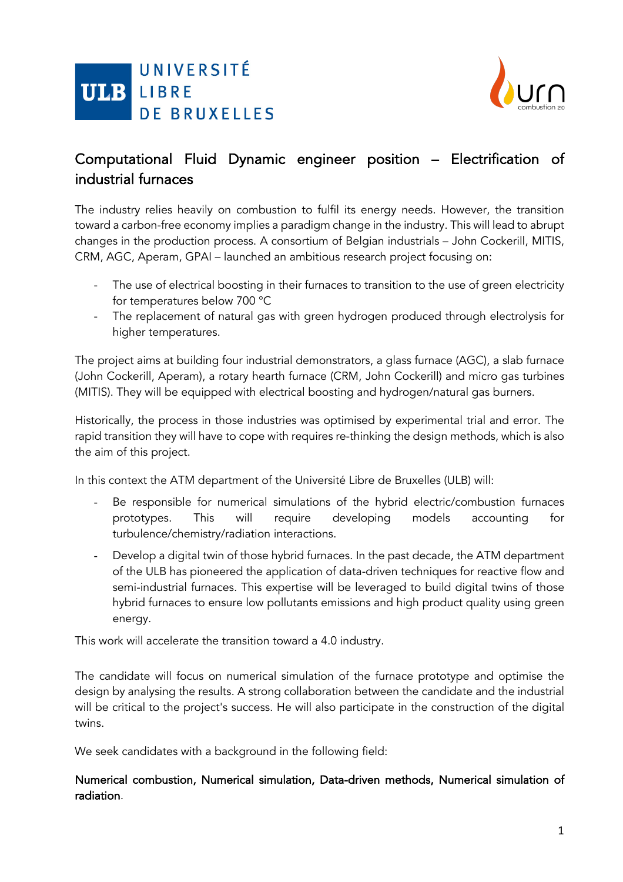



# Computational Fluid Dynamic engineer position – Electrification of industrial furnaces

The industry relies heavily on combustion to fulfil its energy needs. However, the transition toward a carbon-free economy implies a paradigm change in the industry. This will lead to abrupt changes in the production process. A consortium of Belgian industrials – John Cockerill, MITIS, CRM, AGC, Aperam, GPAI – launched an ambitious research project focusing on:

- The use of electrical boosting in their furnaces to transition to the use of green electricity for temperatures below 700 °C
- The replacement of natural gas with green hydrogen produced through electrolysis for higher temperatures.

The project aims at building four industrial demonstrators, a glass furnace (AGC), a slab furnace (John Cockerill, Aperam), a rotary hearth furnace (CRM, John Cockerill) and micro gas turbines (MITIS). They will be equipped with electrical boosting and hydrogen/natural gas burners.

Historically, the process in those industries was optimised by experimental trial and error. The rapid transition they will have to cope with requires re-thinking the design methods, which is also the aim of this project.

In this context the ATM department of the Université Libre de Bruxelles (ULB) will:

- Be responsible for numerical simulations of the hybrid electric/combustion furnaces prototypes. This will require developing models accounting for turbulence/chemistry/radiation interactions.
- Develop a digital twin of those hybrid furnaces. In the past decade, the ATM department of the ULB has pioneered the application of data-driven techniques for reactive flow and semi-industrial furnaces. This expertise will be leveraged to build digital twins of those hybrid furnaces to ensure low pollutants emissions and high product quality using green energy.

This work will accelerate the transition toward a 4.0 industry.

The candidate will focus on numerical simulation of the furnace prototype and optimise the design by analysing the results. A strong collaboration between the candidate and the industrial will be critical to the project's success. He will also participate in the construction of the digital twins.

We seek candidates with a background in the following field:

## Numerical combustion, Numerical simulation, Data-driven methods, Numerical simulation of radiation.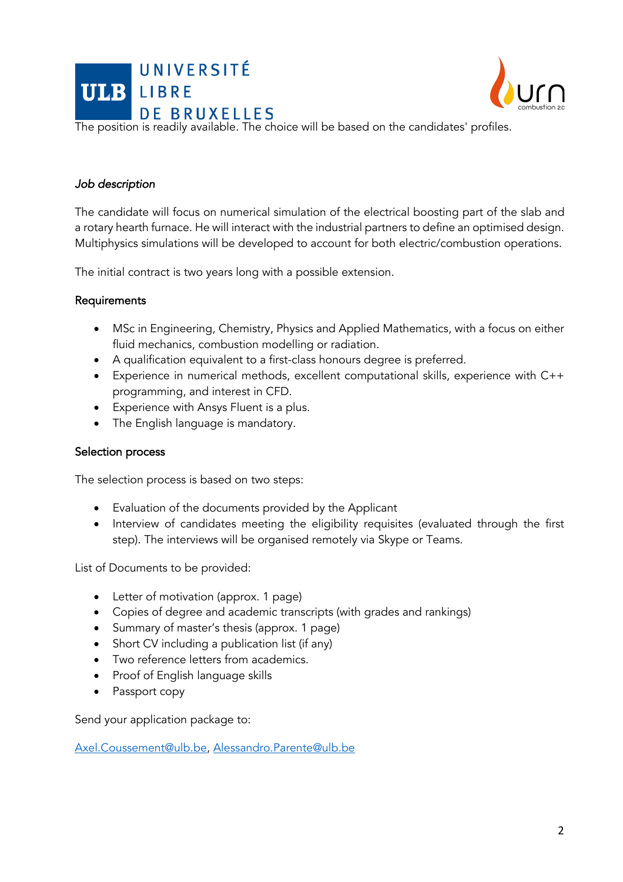



The position is readily available. The choice will be based on the candidates' profiles.

### *Job description*

The candidate will focus on numerical simulation of the electrical boosting part of the slab and a rotary hearth furnace. He will interact with the industrial partners to define an optimised design. Multiphysics simulations will be developed to account for both electric/combustion operations.

The initial contract is two years long with a possible extension.

### Requirements

- MSc in Engineering, Chemistry, Physics and Applied Mathematics, with a focus on either fluid mechanics, combustion modelling or radiation.
- A qualification equivalent to a first-class honours degree is preferred.
- Experience in numerical methods, excellent computational skills, experience with C++ programming, and interest in CFD.
- Experience with Ansys Fluent is a plus.
- The English language is mandatory.

### Selection process

The selection process is based on two steps:

- Evaluation of the documents provided by the Applicant
- Interview of candidates meeting the eligibility requisites (evaluated through the first step). The interviews will be organised remotely via Skype or Teams.

List of Documents to be provided:

- Letter of motivation (approx. 1 page)
- Copies of degree and academic transcripts (with grades and rankings)
- Summary of master's thesis (approx. 1 page)
- Short CV including a publication list (if any)
- Two reference letters from academics.
- Proof of English language skills
- Passport copy

Send your application package to:

Axel.Coussement@ulb.be, Alessandro.Parente@ulb.be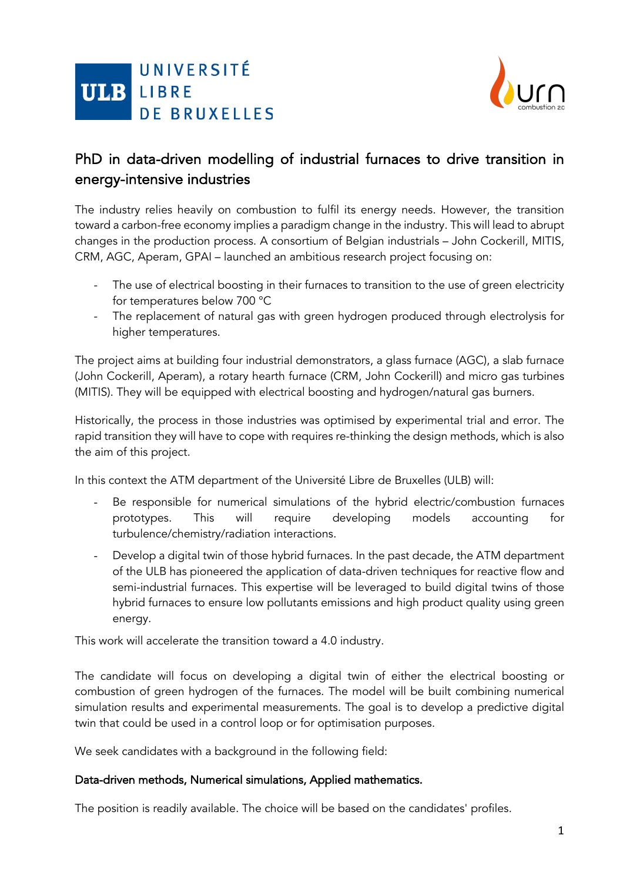



## PhD in data-driven modelling of industrial furnaces to drive transition in energy-intensive industries

The industry relies heavily on combustion to fulfil its energy needs. However, the transition toward a carbon-free economy implies a paradigm change in the industry. This will lead to abrupt changes in the production process. A consortium of Belgian industrials – John Cockerill, MITIS, CRM, AGC, Aperam, GPAI – launched an ambitious research project focusing on:

- The use of electrical boosting in their furnaces to transition to the use of green electricity for temperatures below 700 °C
- The replacement of natural gas with green hydrogen produced through electrolysis for higher temperatures.

The project aims at building four industrial demonstrators, a glass furnace (AGC), a slab furnace (John Cockerill, Aperam), a rotary hearth furnace (CRM, John Cockerill) and micro gas turbines (MITIS). They will be equipped with electrical boosting and hydrogen/natural gas burners.

Historically, the process in those industries was optimised by experimental trial and error. The rapid transition they will have to cope with requires re-thinking the design methods, which is also the aim of this project.

In this context the ATM department of the Université Libre de Bruxelles (ULB) will:

- Be responsible for numerical simulations of the hybrid electric/combustion furnaces prototypes. This will require developing models accounting for turbulence/chemistry/radiation interactions.
- Develop a digital twin of those hybrid furnaces. In the past decade, the ATM department of the ULB has pioneered the application of data-driven techniques for reactive flow and semi-industrial furnaces. This expertise will be leveraged to build digital twins of those hybrid furnaces to ensure low pollutants emissions and high product quality using green energy.

This work will accelerate the transition toward a 4.0 industry.

The candidate will focus on developing a digital twin of either the electrical boosting or combustion of green hydrogen of the furnaces. The model will be built combining numerical simulation results and experimental measurements. The goal is to develop a predictive digital twin that could be used in a control loop or for optimisation purposes.

We seek candidates with a background in the following field:

## Data-driven methods, Numerical simulations, Applied mathematics.

The position is readily available. The choice will be based on the candidates' profiles.